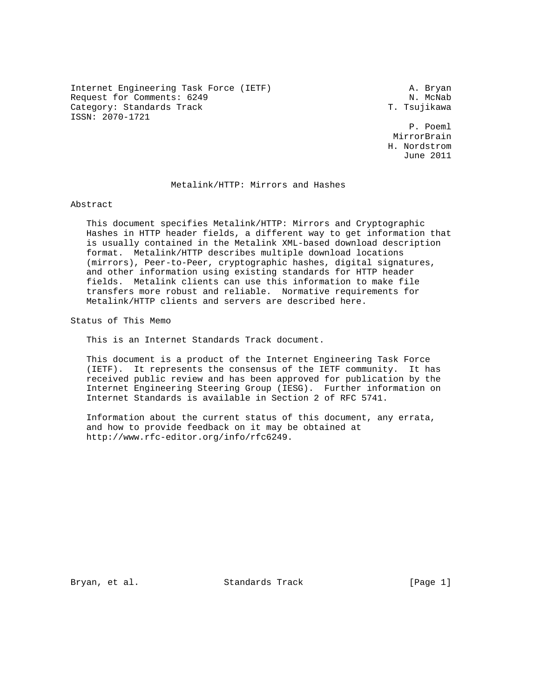Internet Engineering Task Force (IETF) A. Bryan Request for Comments: 6249 N. McNab<br>Category: Standards Track N. McNab (2008) N. McNab Category: Standards Track ISSN: 2070-1721

 P. Poeml MirrorBrain H. Nordstrom June 2011

# Metalink/HTTP: Mirrors and Hashes

Abstract

 This document specifies Metalink/HTTP: Mirrors and Cryptographic Hashes in HTTP header fields, a different way to get information that is usually contained in the Metalink XML-based download description format. Metalink/HTTP describes multiple download locations (mirrors), Peer-to-Peer, cryptographic hashes, digital signatures, and other information using existing standards for HTTP header fields. Metalink clients can use this information to make file transfers more robust and reliable. Normative requirements for Metalink/HTTP clients and servers are described here.

Status of This Memo

This is an Internet Standards Track document.

 This document is a product of the Internet Engineering Task Force (IETF). It represents the consensus of the IETF community. It has received public review and has been approved for publication by the Internet Engineering Steering Group (IESG). Further information on Internet Standards is available in Section 2 of RFC 5741.

 Information about the current status of this document, any errata, and how to provide feedback on it may be obtained at http://www.rfc-editor.org/info/rfc6249.

Bryan, et al. Standards Track [Page 1]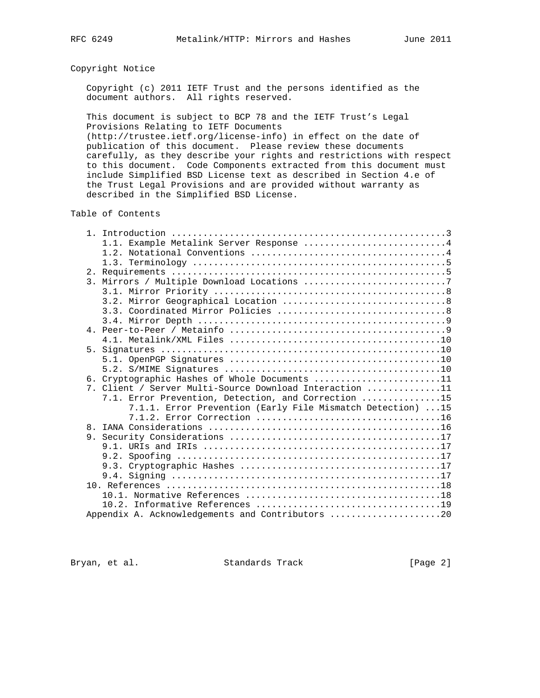# Copyright Notice

 Copyright (c) 2011 IETF Trust and the persons identified as the document authors. All rights reserved.

 This document is subject to BCP 78 and the IETF Trust's Legal Provisions Relating to IETF Documents

 (http://trustee.ietf.org/license-info) in effect on the date of publication of this document. Please review these documents carefully, as they describe your rights and restrictions with respect to this document. Code Components extracted from this document must include Simplified BSD License text as described in Section 4.e of the Trust Legal Provisions and are provided without warranty as described in the Simplified BSD License.

Table of Contents

|                  | 1.1. Example Metalink Server Response 4                    |
|------------------|------------------------------------------------------------|
|                  |                                                            |
|                  |                                                            |
|                  |                                                            |
| $\overline{3}$ . |                                                            |
|                  |                                                            |
|                  |                                                            |
|                  |                                                            |
|                  |                                                            |
|                  |                                                            |
|                  |                                                            |
|                  |                                                            |
|                  |                                                            |
|                  |                                                            |
|                  | 6. Cryptographic Hashes of Whole Documents 11              |
|                  | 7. Client / Server Multi-Source Download Interaction 11    |
|                  | 7.1. Error Prevention, Detection, and Correction 15        |
|                  | 7.1.1. Error Prevention (Early File Mismatch Detection) 15 |
|                  |                                                            |
|                  |                                                            |
|                  |                                                            |
|                  |                                                            |
|                  |                                                            |
|                  |                                                            |
|                  |                                                            |
|                  |                                                            |
|                  |                                                            |
|                  |                                                            |
|                  | Appendix A. Acknowledgements and Contributors 20           |

Bryan, et al. Standards Track [Page 2]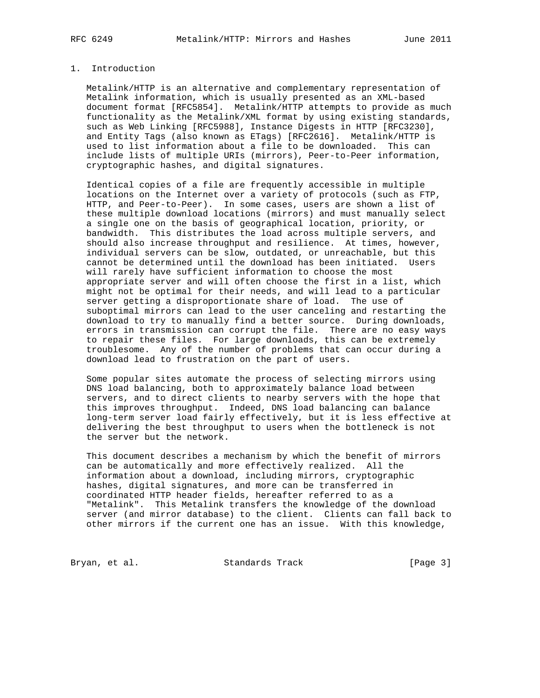# 1. Introduction

 Metalink/HTTP is an alternative and complementary representation of Metalink information, which is usually presented as an XML-based document format [RFC5854]. Metalink/HTTP attempts to provide as much functionality as the Metalink/XML format by using existing standards, such as Web Linking [RFC5988], Instance Digests in HTTP [RFC3230], and Entity Tags (also known as ETags) [RFC2616]. Metalink/HTTP is used to list information about a file to be downloaded. This can include lists of multiple URIs (mirrors), Peer-to-Peer information, cryptographic hashes, and digital signatures.

 Identical copies of a file are frequently accessible in multiple locations on the Internet over a variety of protocols (such as FTP, HTTP, and Peer-to-Peer). In some cases, users are shown a list of these multiple download locations (mirrors) and must manually select a single one on the basis of geographical location, priority, or bandwidth. This distributes the load across multiple servers, and should also increase throughput and resilience. At times, however, individual servers can be slow, outdated, or unreachable, but this cannot be determined until the download has been initiated. Users will rarely have sufficient information to choose the most appropriate server and will often choose the first in a list, which might not be optimal for their needs, and will lead to a particular server getting a disproportionate share of load. The use of suboptimal mirrors can lead to the user canceling and restarting the download to try to manually find a better source. During downloads, errors in transmission can corrupt the file. There are no easy ways to repair these files. For large downloads, this can be extremely troublesome. Any of the number of problems that can occur during a download lead to frustration on the part of users.

 Some popular sites automate the process of selecting mirrors using DNS load balancing, both to approximately balance load between servers, and to direct clients to nearby servers with the hope that this improves throughput. Indeed, DNS load balancing can balance long-term server load fairly effectively, but it is less effective at delivering the best throughput to users when the bottleneck is not the server but the network.

 This document describes a mechanism by which the benefit of mirrors can be automatically and more effectively realized. All the information about a download, including mirrors, cryptographic hashes, digital signatures, and more can be transferred in coordinated HTTP header fields, hereafter referred to as a "Metalink". This Metalink transfers the knowledge of the download server (and mirror database) to the client. Clients can fall back to other mirrors if the current one has an issue. With this knowledge,

Bryan, et al. Standards Track [Page 3]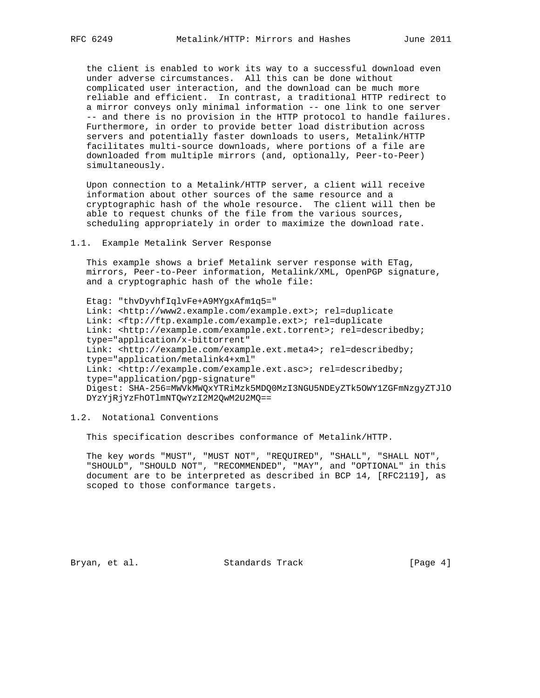the client is enabled to work its way to a successful download even under adverse circumstances. All this can be done without complicated user interaction, and the download can be much more reliable and efficient. In contrast, a traditional HTTP redirect to a mirror conveys only minimal information -- one link to one server -- and there is no provision in the HTTP protocol to handle failures. Furthermore, in order to provide better load distribution across servers and potentially faster downloads to users, Metalink/HTTP facilitates multi-source downloads, where portions of a file are downloaded from multiple mirrors (and, optionally, Peer-to-Peer) simultaneously.

 Upon connection to a Metalink/HTTP server, a client will receive information about other sources of the same resource and a cryptographic hash of the whole resource. The client will then be able to request chunks of the file from the various sources, scheduling appropriately in order to maximize the download rate.

#### 1.1. Example Metalink Server Response

 This example shows a brief Metalink server response with ETag, mirrors, Peer-to-Peer information, Metalink/XML, OpenPGP signature, and a cryptographic hash of the whole file:

 Etag: "thvDyvhfIqlvFe+A9MYgxAfm1q5=" Link: <http://www2.example.com/example.ext>; rel=duplicate Link: <ftp://ftp.example.com/example.ext>; rel=duplicate Link: <http://example.com/example.ext.torrent>; rel=describedby; type="application/x-bittorrent" Link: <http://example.com/example.ext.meta4>; rel=describedby; type="application/metalink4+xml" Link: <http://example.com/example.ext.asc>; rel=describedby; type="application/pgp-signature" Digest: SHA-256=MWVkMWQxYTRiMzk5MDQ0MzI3NGU5NDEyZTk5OWY1ZGFmNzgyZTJlO DYzYjRjYzFhOTlmNTQwYzI2M2QwM2U2MQ==

# 1.2. Notational Conventions

This specification describes conformance of Metalink/HTTP.

 The key words "MUST", "MUST NOT", "REQUIRED", "SHALL", "SHALL NOT", "SHOULD", "SHOULD NOT", "RECOMMENDED", "MAY", and "OPTIONAL" in this document are to be interpreted as described in BCP 14, [RFC2119], as scoped to those conformance targets.

Bryan, et al. Standards Track [Page 4]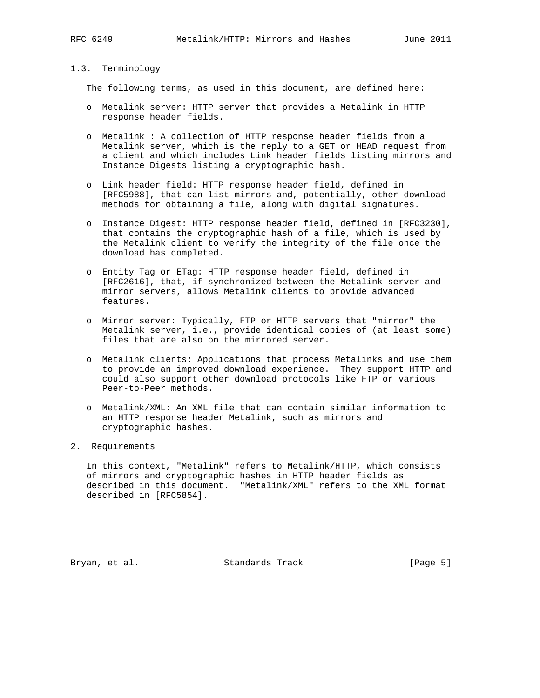# 1.3. Terminology

The following terms, as used in this document, are defined here:

- o Metalink server: HTTP server that provides a Metalink in HTTP response header fields.
- o Metalink : A collection of HTTP response header fields from a Metalink server, which is the reply to a GET or HEAD request from a client and which includes Link header fields listing mirrors and Instance Digests listing a cryptographic hash.
- o Link header field: HTTP response header field, defined in [RFC5988], that can list mirrors and, potentially, other download methods for obtaining a file, along with digital signatures.
- o Instance Digest: HTTP response header field, defined in [RFC3230], that contains the cryptographic hash of a file, which is used by the Metalink client to verify the integrity of the file once the download has completed.
- o Entity Tag or ETag: HTTP response header field, defined in [RFC2616], that, if synchronized between the Metalink server and mirror servers, allows Metalink clients to provide advanced features.
- o Mirror server: Typically, FTP or HTTP servers that "mirror" the Metalink server, i.e., provide identical copies of (at least some) files that are also on the mirrored server.
- o Metalink clients: Applications that process Metalinks and use them to provide an improved download experience. They support HTTP and could also support other download protocols like FTP or various Peer-to-Peer methods.
- o Metalink/XML: An XML file that can contain similar information to an HTTP response header Metalink, such as mirrors and cryptographic hashes.

### 2. Requirements

 In this context, "Metalink" refers to Metalink/HTTP, which consists of mirrors and cryptographic hashes in HTTP header fields as described in this document. "Metalink/XML" refers to the XML format described in [RFC5854].

Bryan, et al. Standards Track [Page 5]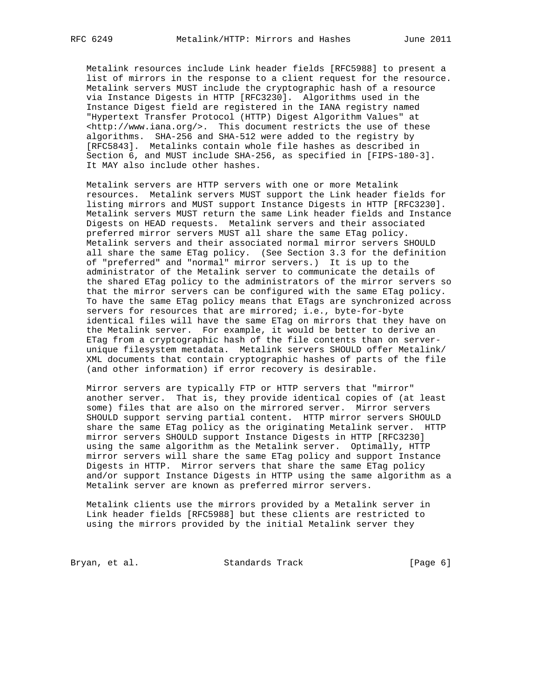Metalink resources include Link header fields [RFC5988] to present a list of mirrors in the response to a client request for the resource. Metalink servers MUST include the cryptographic hash of a resource via Instance Digests in HTTP [RFC3230]. Algorithms used in the Instance Digest field are registered in the IANA registry named "Hypertext Transfer Protocol (HTTP) Digest Algorithm Values" at <http://www.iana.org/>. This document restricts the use of these algorithms. SHA-256 and SHA-512 were added to the registry by [RFC5843]. Metalinks contain whole file hashes as described in Section 6, and MUST include SHA-256, as specified in [FIPS-180-3]. It MAY also include other hashes.

 Metalink servers are HTTP servers with one or more Metalink resources. Metalink servers MUST support the Link header fields for listing mirrors and MUST support Instance Digests in HTTP [RFC3230]. Metalink servers MUST return the same Link header fields and Instance Digests on HEAD requests. Metalink servers and their associated preferred mirror servers MUST all share the same ETag policy. Metalink servers and their associated normal mirror servers SHOULD all share the same ETag policy. (See Section 3.3 for the definition of "preferred" and "normal" mirror servers.) It is up to the administrator of the Metalink server to communicate the details of the shared ETag policy to the administrators of the mirror servers so that the mirror servers can be configured with the same ETag policy. To have the same ETag policy means that ETags are synchronized across servers for resources that are mirrored; i.e., byte-for-byte identical files will have the same ETag on mirrors that they have on the Metalink server. For example, it would be better to derive an ETag from a cryptographic hash of the file contents than on server unique filesystem metadata. Metalink servers SHOULD offer Metalink/ XML documents that contain cryptographic hashes of parts of the file (and other information) if error recovery is desirable.

 Mirror servers are typically FTP or HTTP servers that "mirror" another server. That is, they provide identical copies of (at least some) files that are also on the mirrored server. Mirror servers SHOULD support serving partial content. HTTP mirror servers SHOULD share the same ETag policy as the originating Metalink server. HTTP mirror servers SHOULD support Instance Digests in HTTP [RFC3230] using the same algorithm as the Metalink server. Optimally, HTTP mirror servers will share the same ETag policy and support Instance Digests in HTTP. Mirror servers that share the same ETag policy and/or support Instance Digests in HTTP using the same algorithm as a Metalink server are known as preferred mirror servers.

 Metalink clients use the mirrors provided by a Metalink server in Link header fields [RFC5988] but these clients are restricted to using the mirrors provided by the initial Metalink server they

Bryan, et al. Standards Track [Page 6]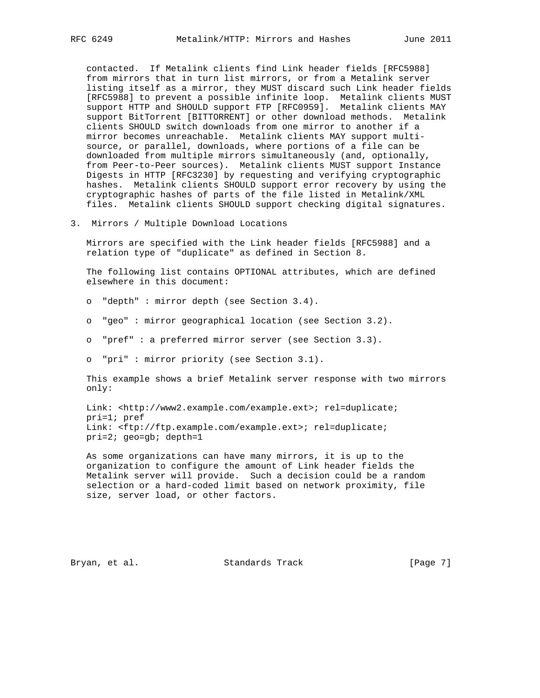contacted. If Metalink clients find Link header fields [RFC5988] from mirrors that in turn list mirrors, or from a Metalink server listing itself as a mirror, they MUST discard such Link header fields [RFC5988] to prevent a possible infinite loop. Metalink clients MUST support HTTP and SHOULD support FTP [RFC0959]. Metalink clients MAY support BitTorrent [BITTORRENT] or other download methods. Metalink clients SHOULD switch downloads from one mirror to another if a mirror becomes unreachable. Metalink clients MAY support multi source, or parallel, downloads, where portions of a file can be downloaded from multiple mirrors simultaneously (and, optionally, from Peer-to-Peer sources). Metalink clients MUST support Instance Digests in HTTP [RFC3230] by requesting and verifying cryptographic hashes. Metalink clients SHOULD support error recovery by using the cryptographic hashes of parts of the file listed in Metalink/XML files. Metalink clients SHOULD support checking digital signatures.

3. Mirrors / Multiple Download Locations

 Mirrors are specified with the Link header fields [RFC5988] and a relation type of "duplicate" as defined in Section 8.

 The following list contains OPTIONAL attributes, which are defined elsewhere in this document:

- o "depth" : mirror depth (see Section 3.4).
- o "geo" : mirror geographical location (see Section 3.2).
- o "pref" : a preferred mirror server (see Section 3.3).
- o "pri" : mirror priority (see Section 3.1).

 This example shows a brief Metalink server response with two mirrors only:

 Link: <http://www2.example.com/example.ext>; rel=duplicate; pri=1; pref Link: <ftp://ftp.example.com/example.ext>; rel=duplicate; pri=2; geo=gb; depth=1

 As some organizations can have many mirrors, it is up to the organization to configure the amount of Link header fields the Metalink server will provide. Such a decision could be a random selection or a hard-coded limit based on network proximity, file size, server load, or other factors.

Bryan, et al. Standards Track [Page 7]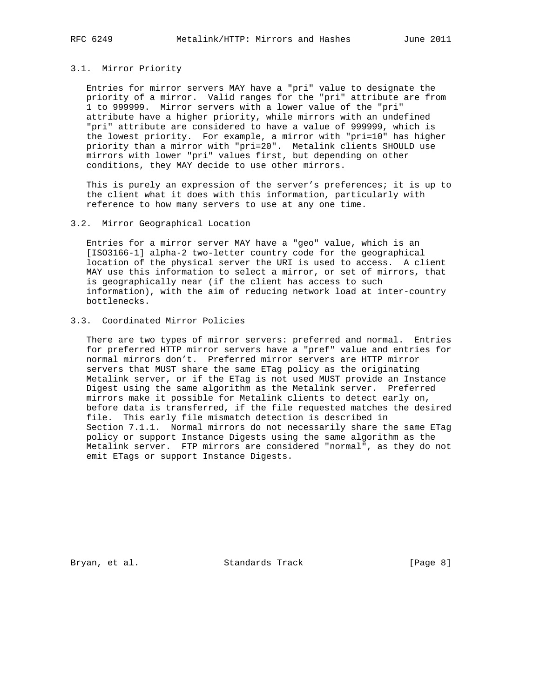#### 3.1. Mirror Priority

 Entries for mirror servers MAY have a "pri" value to designate the priority of a mirror. Valid ranges for the "pri" attribute are from 1 to 999999. Mirror servers with a lower value of the "pri" attribute have a higher priority, while mirrors with an undefined "pri" attribute are considered to have a value of 999999, which is the lowest priority. For example, a mirror with "pri=10" has higher priority than a mirror with "pri=20". Metalink clients SHOULD use mirrors with lower "pri" values first, but depending on other conditions, they MAY decide to use other mirrors.

This is purely an expression of the server's preferences; it is up to the client what it does with this information, particularly with reference to how many servers to use at any one time.

#### 3.2. Mirror Geographical Location

 Entries for a mirror server MAY have a "geo" value, which is an [ISO3166-1] alpha-2 two-letter country code for the geographical location of the physical server the URI is used to access. A client MAY use this information to select a mirror, or set of mirrors, that is geographically near (if the client has access to such information), with the aim of reducing network load at inter-country bottlenecks.

# 3.3. Coordinated Mirror Policies

 There are two types of mirror servers: preferred and normal. Entries for preferred HTTP mirror servers have a "pref" value and entries for normal mirrors don't. Preferred mirror servers are HTTP mirror servers that MUST share the same ETag policy as the originating Metalink server, or if the ETag is not used MUST provide an Instance Digest using the same algorithm as the Metalink server. Preferred mirrors make it possible for Metalink clients to detect early on, before data is transferred, if the file requested matches the desired file. This early file mismatch detection is described in Section 7.1.1. Normal mirrors do not necessarily share the same ETag policy or support Instance Digests using the same algorithm as the Metalink server. FTP mirrors are considered "normal", as they do not emit ETags or support Instance Digests.

Bryan, et al. Standards Track [Page 8]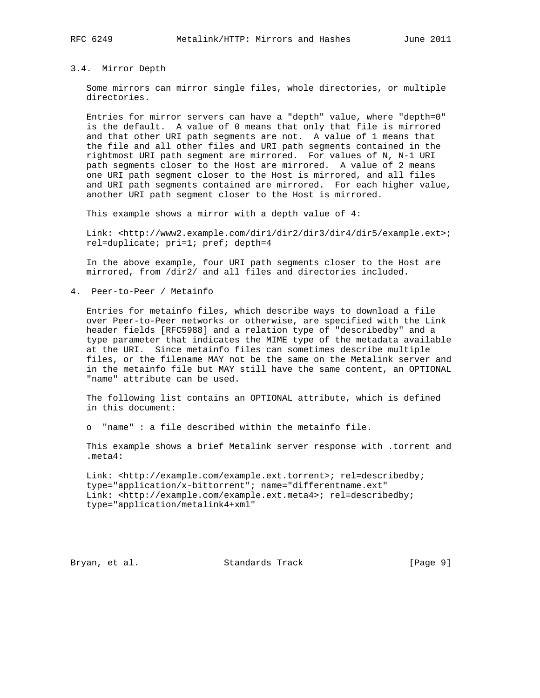#### 3.4. Mirror Depth

 Some mirrors can mirror single files, whole directories, or multiple directories.

 Entries for mirror servers can have a "depth" value, where "depth=0" is the default. A value of 0 means that only that file is mirrored and that other URI path segments are not. A value of 1 means that the file and all other files and URI path segments contained in the rightmost URI path segment are mirrored. For values of N, N-1 URI path segments closer to the Host are mirrored. A value of 2 means one URI path segment closer to the Host is mirrored, and all files and URI path segments contained are mirrored. For each higher value, another URI path segment closer to the Host is mirrored.

This example shows a mirror with a depth value of 4:

 Link: <http://www2.example.com/dir1/dir2/dir3/dir4/dir5/example.ext>; rel=duplicate; pri=1; pref; depth=4

 In the above example, four URI path segments closer to the Host are mirrored, from /dir2/ and all files and directories included.

4. Peer-to-Peer / Metainfo

 Entries for metainfo files, which describe ways to download a file over Peer-to-Peer networks or otherwise, are specified with the Link header fields [RFC5988] and a relation type of "describedby" and a type parameter that indicates the MIME type of the metadata available at the URI. Since metainfo files can sometimes describe multiple files, or the filename MAY not be the same on the Metalink server and in the metainfo file but MAY still have the same content, an OPTIONAL "name" attribute can be used.

 The following list contains an OPTIONAL attribute, which is defined in this document:

o "name" : a file described within the metainfo file.

 This example shows a brief Metalink server response with .torrent and .meta4:

 Link: <http://example.com/example.ext.torrent>; rel=describedby; type="application/x-bittorrent"; name="differentname.ext" Link: <http://example.com/example.ext.meta4>; rel=describedby; type="application/metalink4+xml"

Bryan, et al. Standards Track [Page 9]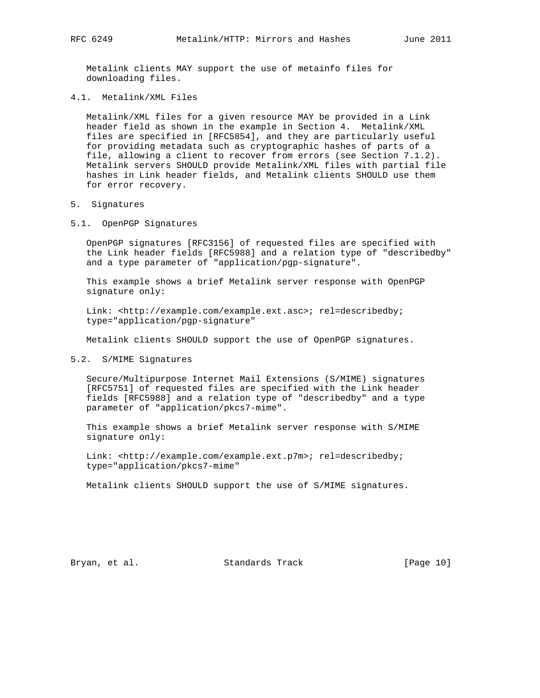Metalink clients MAY support the use of metainfo files for downloading files.

4.1. Metalink/XML Files

 Metalink/XML files for a given resource MAY be provided in a Link header field as shown in the example in Section 4. Metalink/XML files are specified in [RFC5854], and they are particularly useful for providing metadata such as cryptographic hashes of parts of a file, allowing a client to recover from errors (see Section 7.1.2). Metalink servers SHOULD provide Metalink/XML files with partial file hashes in Link header fields, and Metalink clients SHOULD use them for error recovery.

#### 5. Signatures

5.1. OpenPGP Signatures

 OpenPGP signatures [RFC3156] of requested files are specified with the Link header fields [RFC5988] and a relation type of "describedby" and a type parameter of "application/pgp-signature".

 This example shows a brief Metalink server response with OpenPGP signature only:

 Link: <http://example.com/example.ext.asc>; rel=describedby; type="application/pgp-signature"

Metalink clients SHOULD support the use of OpenPGP signatures.

#### 5.2. S/MIME Signatures

 Secure/Multipurpose Internet Mail Extensions (S/MIME) signatures [RFC5751] of requested files are specified with the Link header fields [RFC5988] and a relation type of "describedby" and a type parameter of "application/pkcs7-mime".

 This example shows a brief Metalink server response with S/MIME signature only:

 Link: <http://example.com/example.ext.p7m>; rel=describedby; type="application/pkcs7-mime"

Metalink clients SHOULD support the use of S/MIME signatures.

Bryan, et al. Standards Track [Page 10]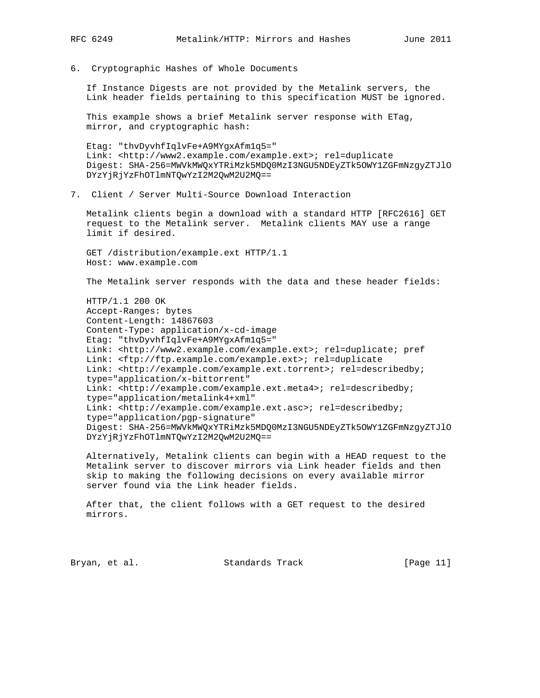- 
- 6. Cryptographic Hashes of Whole Documents

 If Instance Digests are not provided by the Metalink servers, the Link header fields pertaining to this specification MUST be ignored.

 This example shows a brief Metalink server response with ETag, mirror, and cryptographic hash:

 Etag: "thvDyvhfIqlvFe+A9MYgxAfm1q5=" Link: <http://www2.example.com/example.ext>; rel=duplicate Digest: SHA-256=MWVkMWQxYTRiMzk5MDQ0MzI3NGU5NDEyZTk5OWY1ZGFmNzgyZTJlO DYzYjRjYzFhOTlmNTQwYzI2M2QwM2U2MQ==

7. Client / Server Multi-Source Download Interaction

 Metalink clients begin a download with a standard HTTP [RFC2616] GET request to the Metalink server. Metalink clients MAY use a range limit if desired.

 GET /distribution/example.ext HTTP/1.1 Host: www.example.com

The Metalink server responds with the data and these header fields:

 HTTP/1.1 200 OK Accept-Ranges: bytes Content-Length: 14867603 Content-Type: application/x-cd-image Etag: "thvDyvhfIqlvFe+A9MYgxAfm1q5=" Link: <http://www2.example.com/example.ext>; rel=duplicate; pref Link: <ftp://ftp.example.com/example.ext>; rel=duplicate Link: <http://example.com/example.ext.torrent>; rel=describedby; type="application/x-bittorrent" Link: <http://example.com/example.ext.meta4>; rel=describedby; type="application/metalink4+xml" Link: <http://example.com/example.ext.asc>; rel=describedby; type="application/pgp-signature" Digest: SHA-256=MWVkMWQxYTRiMzk5MDQ0MzI3NGU5NDEyZTk5OWY1ZGFmNzgyZTJlO DYzYjRjYzFhOTlmNTQwYzI2M2QwM2U2MQ==

 Alternatively, Metalink clients can begin with a HEAD request to the Metalink server to discover mirrors via Link header fields and then skip to making the following decisions on every available mirror server found via the Link header fields.

 After that, the client follows with a GET request to the desired mirrors.

Bryan, et al. Standards Track [Page 11]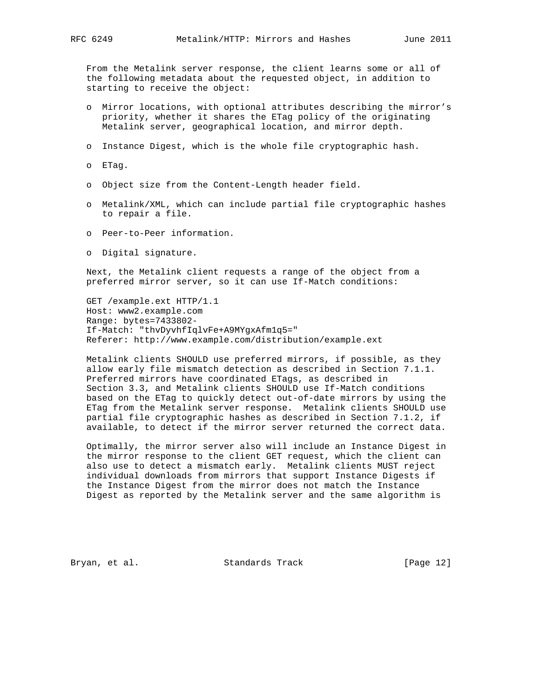From the Metalink server response, the client learns some or all of the following metadata about the requested object, in addition to starting to receive the object:

- o Mirror locations, with optional attributes describing the mirror's priority, whether it shares the ETag policy of the originating Metalink server, geographical location, and mirror depth.
- o Instance Digest, which is the whole file cryptographic hash.
- o ETag.
- o Object size from the Content-Length header field.
- o Metalink/XML, which can include partial file cryptographic hashes to repair a file.
- o Peer-to-Peer information.
- o Digital signature.

 Next, the Metalink client requests a range of the object from a preferred mirror server, so it can use If-Match conditions:

 GET /example.ext HTTP/1.1 Host: www2.example.com Range: bytes=7433802- If-Match: "thvDyvhfIqlvFe+A9MYgxAfm1q5=" Referer: http://www.example.com/distribution/example.ext

 Metalink clients SHOULD use preferred mirrors, if possible, as they allow early file mismatch detection as described in Section 7.1.1. Preferred mirrors have coordinated ETags, as described in Section 3.3, and Metalink clients SHOULD use If-Match conditions based on the ETag to quickly detect out-of-date mirrors by using the ETag from the Metalink server response. Metalink clients SHOULD use partial file cryptographic hashes as described in Section 7.1.2, if available, to detect if the mirror server returned the correct data.

 Optimally, the mirror server also will include an Instance Digest in the mirror response to the client GET request, which the client can also use to detect a mismatch early. Metalink clients MUST reject individual downloads from mirrors that support Instance Digests if the Instance Digest from the mirror does not match the Instance Digest as reported by the Metalink server and the same algorithm is

Bryan, et al. Standards Track [Page 12]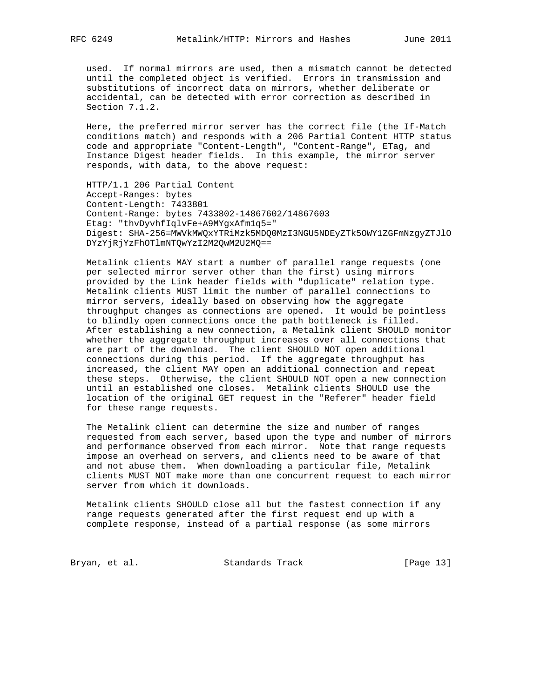used. If normal mirrors are used, then a mismatch cannot be detected until the completed object is verified. Errors in transmission and substitutions of incorrect data on mirrors, whether deliberate or accidental, can be detected with error correction as described in Section 7.1.2.

 Here, the preferred mirror server has the correct file (the If-Match conditions match) and responds with a 206 Partial Content HTTP status code and appropriate "Content-Length", "Content-Range", ETag, and Instance Digest header fields. In this example, the mirror server responds, with data, to the above request:

 HTTP/1.1 206 Partial Content Accept-Ranges: bytes Content-Length: 7433801 Content-Range: bytes 7433802-14867602/14867603 Etag: "thvDyvhfIqlvFe+A9MYgxAfm1q5=" Digest: SHA-256=MWVkMWQxYTRiMzk5MDQ0MzI3NGU5NDEyZTk5OWY1ZGFmNzgyZTJlO DYzYjRjYzFhOTlmNTQwYzI2M2QwM2U2MQ==

 Metalink clients MAY start a number of parallel range requests (one per selected mirror server other than the first) using mirrors provided by the Link header fields with "duplicate" relation type. Metalink clients MUST limit the number of parallel connections to mirror servers, ideally based on observing how the aggregate throughput changes as connections are opened. It would be pointless to blindly open connections once the path bottleneck is filled. After establishing a new connection, a Metalink client SHOULD monitor whether the aggregate throughput increases over all connections that are part of the download. The client SHOULD NOT open additional connections during this period. If the aggregate throughput has increased, the client MAY open an additional connection and repeat these steps. Otherwise, the client SHOULD NOT open a new connection until an established one closes. Metalink clients SHOULD use the location of the original GET request in the "Referer" header field for these range requests.

 The Metalink client can determine the size and number of ranges requested from each server, based upon the type and number of mirrors and performance observed from each mirror. Note that range requests impose an overhead on servers, and clients need to be aware of that and not abuse them. When downloading a particular file, Metalink clients MUST NOT make more than one concurrent request to each mirror server from which it downloads.

 Metalink clients SHOULD close all but the fastest connection if any range requests generated after the first request end up with a complete response, instead of a partial response (as some mirrors

Bryan, et al. Standards Track [Page 13]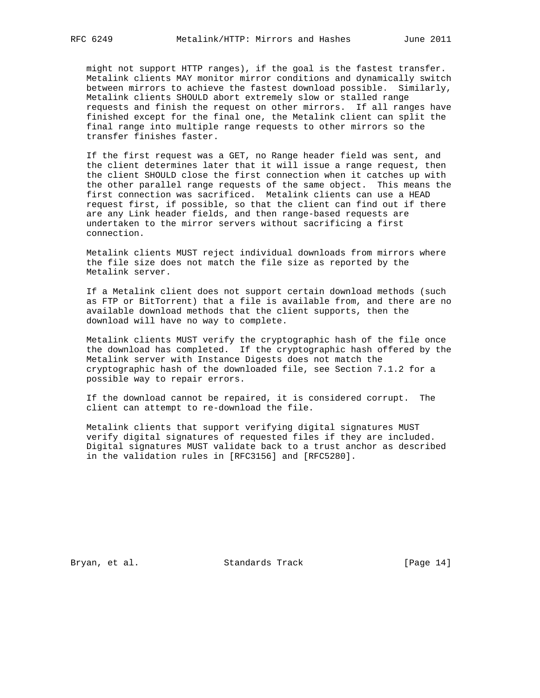might not support HTTP ranges), if the goal is the fastest transfer. Metalink clients MAY monitor mirror conditions and dynamically switch between mirrors to achieve the fastest download possible. Similarly, Metalink clients SHOULD abort extremely slow or stalled range requests and finish the request on other mirrors. If all ranges have finished except for the final one, the Metalink client can split the final range into multiple range requests to other mirrors so the transfer finishes faster.

 If the first request was a GET, no Range header field was sent, and the client determines later that it will issue a range request, then the client SHOULD close the first connection when it catches up with the other parallel range requests of the same object. This means the first connection was sacrificed. Metalink clients can use a HEAD request first, if possible, so that the client can find out if there are any Link header fields, and then range-based requests are undertaken to the mirror servers without sacrificing a first connection.

 Metalink clients MUST reject individual downloads from mirrors where the file size does not match the file size as reported by the Metalink server.

 If a Metalink client does not support certain download methods (such as FTP or BitTorrent) that a file is available from, and there are no available download methods that the client supports, then the download will have no way to complete.

 Metalink clients MUST verify the cryptographic hash of the file once the download has completed. If the cryptographic hash offered by the Metalink server with Instance Digests does not match the cryptographic hash of the downloaded file, see Section 7.1.2 for a possible way to repair errors.

 If the download cannot be repaired, it is considered corrupt. The client can attempt to re-download the file.

 Metalink clients that support verifying digital signatures MUST verify digital signatures of requested files if they are included. Digital signatures MUST validate back to a trust anchor as described in the validation rules in [RFC3156] and [RFC5280].

Bryan, et al. Standards Track [Page 14]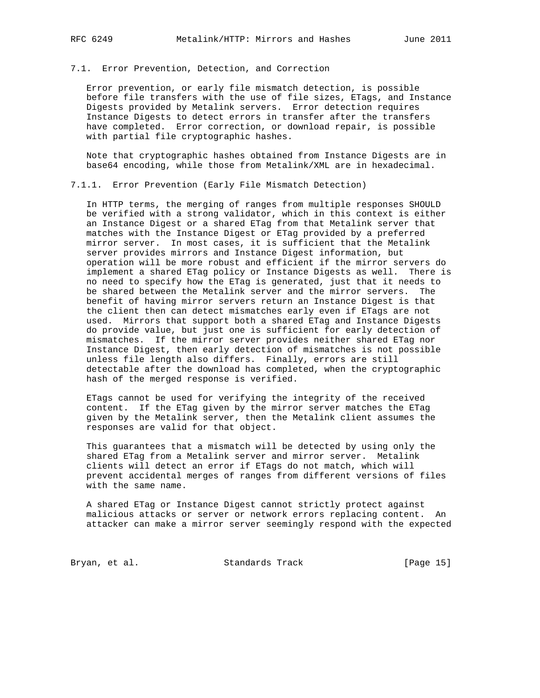# 7.1. Error Prevention, Detection, and Correction

 Error prevention, or early file mismatch detection, is possible before file transfers with the use of file sizes, ETags, and Instance Digests provided by Metalink servers. Error detection requires Instance Digests to detect errors in transfer after the transfers have completed. Error correction, or download repair, is possible with partial file cryptographic hashes.

 Note that cryptographic hashes obtained from Instance Digests are in base64 encoding, while those from Metalink/XML are in hexadecimal.

7.1.1. Error Prevention (Early File Mismatch Detection)

 In HTTP terms, the merging of ranges from multiple responses SHOULD be verified with a strong validator, which in this context is either an Instance Digest or a shared ETag from that Metalink server that matches with the Instance Digest or ETag provided by a preferred mirror server. In most cases, it is sufficient that the Metalink server provides mirrors and Instance Digest information, but operation will be more robust and efficient if the mirror servers do implement a shared ETag policy or Instance Digests as well. There is no need to specify how the ETag is generated, just that it needs to be shared between the Metalink server and the mirror servers. The benefit of having mirror servers return an Instance Digest is that the client then can detect mismatches early even if ETags are not used. Mirrors that support both a shared ETag and Instance Digests do provide value, but just one is sufficient for early detection of mismatches. If the mirror server provides neither shared ETag nor Instance Digest, then early detection of mismatches is not possible unless file length also differs. Finally, errors are still detectable after the download has completed, when the cryptographic hash of the merged response is verified.

 ETags cannot be used for verifying the integrity of the received content. If the ETag given by the mirror server matches the ETag given by the Metalink server, then the Metalink client assumes the responses are valid for that object.

 This guarantees that a mismatch will be detected by using only the shared ETag from a Metalink server and mirror server. Metalink clients will detect an error if ETags do not match, which will prevent accidental merges of ranges from different versions of files with the same name.

 A shared ETag or Instance Digest cannot strictly protect against malicious attacks or server or network errors replacing content. An attacker can make a mirror server seemingly respond with the expected

Bryan, et al. Standards Track [Page 15]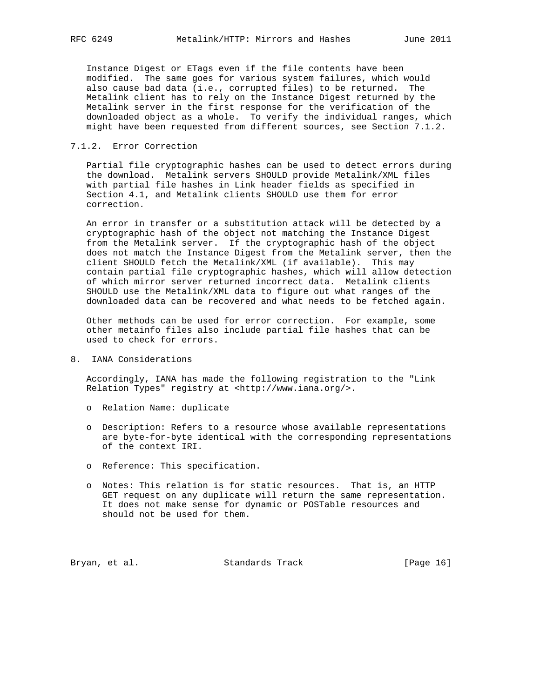Instance Digest or ETags even if the file contents have been modified. The same goes for various system failures, which would also cause bad data (i.e., corrupted files) to be returned. The Metalink client has to rely on the Instance Digest returned by the Metalink server in the first response for the verification of the downloaded object as a whole. To verify the individual ranges, which might have been requested from different sources, see Section 7.1.2.

### 7.1.2. Error Correction

 Partial file cryptographic hashes can be used to detect errors during the download. Metalink servers SHOULD provide Metalink/XML files with partial file hashes in Link header fields as specified in Section 4.1, and Metalink clients SHOULD use them for error correction.

 An error in transfer or a substitution attack will be detected by a cryptographic hash of the object not matching the Instance Digest from the Metalink server. If the cryptographic hash of the object does not match the Instance Digest from the Metalink server, then the client SHOULD fetch the Metalink/XML (if available). This may contain partial file cryptographic hashes, which will allow detection of which mirror server returned incorrect data. Metalink clients SHOULD use the Metalink/XML data to figure out what ranges of the downloaded data can be recovered and what needs to be fetched again.

 Other methods can be used for error correction. For example, some other metainfo files also include partial file hashes that can be used to check for errors.

8. IANA Considerations

 Accordingly, IANA has made the following registration to the "Link Relation Types" registry at <http://www.iana.org/>.

- o Relation Name: duplicate
- o Description: Refers to a resource whose available representations are byte-for-byte identical with the corresponding representations of the context IRI.
- o Reference: This specification.
- o Notes: This relation is for static resources. That is, an HTTP GET request on any duplicate will return the same representation. It does not make sense for dynamic or POSTable resources and should not be used for them.

Bryan, et al. Standards Track [Page 16]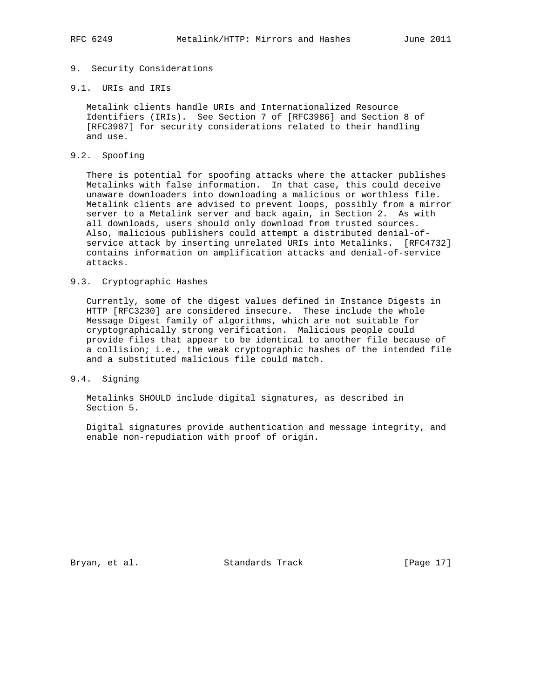# 9. Security Considerations

### 9.1. URIs and IRIs

 Metalink clients handle URIs and Internationalized Resource Identifiers (IRIs). See Section 7 of [RFC3986] and Section 8 of [RFC3987] for security considerations related to their handling and use.

# 9.2. Spoofing

 There is potential for spoofing attacks where the attacker publishes Metalinks with false information. In that case, this could deceive unaware downloaders into downloading a malicious or worthless file. Metalink clients are advised to prevent loops, possibly from a mirror server to a Metalink server and back again, in Section 2. As with all downloads, users should only download from trusted sources. Also, malicious publishers could attempt a distributed denial-of service attack by inserting unrelated URIs into Metalinks. [RFC4732] contains information on amplification attacks and denial-of-service attacks.

### 9.3. Cryptographic Hashes

 Currently, some of the digest values defined in Instance Digests in HTTP [RFC3230] are considered insecure. These include the whole Message Digest family of algorithms, which are not suitable for cryptographically strong verification. Malicious people could provide files that appear to be identical to another file because of a collision; i.e., the weak cryptographic hashes of the intended file and a substituted malicious file could match.

### 9.4. Signing

 Metalinks SHOULD include digital signatures, as described in Section 5.

 Digital signatures provide authentication and message integrity, and enable non-repudiation with proof of origin.

Bryan, et al. Standards Track [Page 17]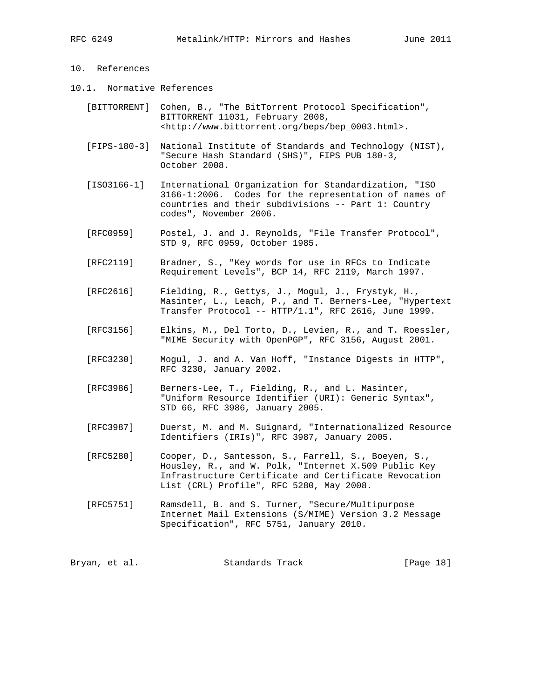# 10. References

- 10.1. Normative References
	- [BITTORRENT] Cohen, B., "The BitTorrent Protocol Specification", BITTORRENT 11031, February 2008, <http://www.bittorrent.org/beps/bep\_0003.html>.
	- [FIPS-180-3] National Institute of Standards and Technology (NIST), "Secure Hash Standard (SHS)", FIPS PUB 180-3, October 2008.
	- [ISO3166-1] International Organization for Standardization, "ISO 3166-1:2006. Codes for the representation of names of countries and their subdivisions -- Part 1: Country codes", November 2006.
	- [RFC0959] Postel, J. and J. Reynolds, "File Transfer Protocol", STD 9, RFC 0959, October 1985.
	- [RFC2119] Bradner, S., "Key words for use in RFCs to Indicate Requirement Levels", BCP 14, RFC 2119, March 1997.
	- [RFC2616] Fielding, R., Gettys, J., Mogul, J., Frystyk, H., Masinter, L., Leach, P., and T. Berners-Lee, "Hypertext Transfer Protocol -- HTTP/1.1", RFC 2616, June 1999.
	- [RFC3156] Elkins, M., Del Torto, D., Levien, R., and T. Roessler, "MIME Security with OpenPGP", RFC 3156, August 2001.
	- [RFC3230] Mogul, J. and A. Van Hoff, "Instance Digests in HTTP", RFC 3230, January 2002.
	- [RFC3986] Berners-Lee, T., Fielding, R., and L. Masinter, "Uniform Resource Identifier (URI): Generic Syntax", STD 66, RFC 3986, January 2005.
	- [RFC3987] Duerst, M. and M. Suignard, "Internationalized Resource Identifiers (IRIs)", RFC 3987, January 2005.
	- [RFC5280] Cooper, D., Santesson, S., Farrell, S., Boeyen, S., Housley, R., and W. Polk, "Internet X.509 Public Key Infrastructure Certificate and Certificate Revocation List (CRL) Profile", RFC 5280, May 2008.
	- [RFC5751] Ramsdell, B. and S. Turner, "Secure/Multipurpose Internet Mail Extensions (S/MIME) Version 3.2 Message Specification", RFC 5751, January 2010.

Bryan, et al. Standards Track [Page 18]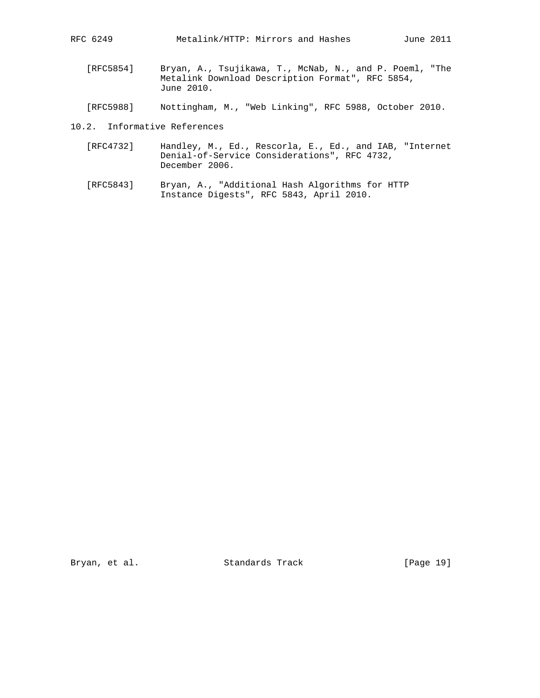- [RFC5854] Bryan, A., Tsujikawa, T., McNab, N., and P. Poeml, "The Metalink Download Description Format", RFC 5854, June 2010.
- [RFC5988] Nottingham, M., "Web Linking", RFC 5988, October 2010.
- 10.2. Informative References
	- [RFC4732] Handley, M., Ed., Rescorla, E., Ed., and IAB, "Internet Denial-of-Service Considerations", RFC 4732, December 2006.
	- [RFC5843] Bryan, A., "Additional Hash Algorithms for HTTP Instance Digests", RFC 5843, April 2010.

Bryan, et al. Standards Track [Page 19]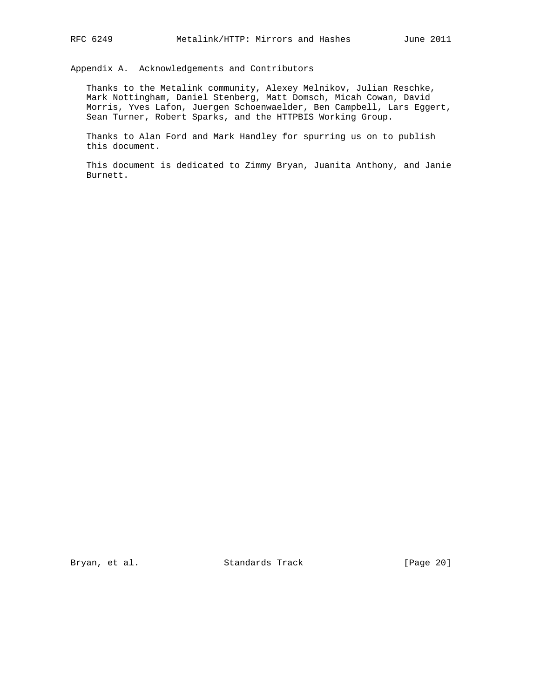Appendix A. Acknowledgements and Contributors

 Thanks to the Metalink community, Alexey Melnikov, Julian Reschke, Mark Nottingham, Daniel Stenberg, Matt Domsch, Micah Cowan, David Morris, Yves Lafon, Juergen Schoenwaelder, Ben Campbell, Lars Eggert, Sean Turner, Robert Sparks, and the HTTPBIS Working Group.

 Thanks to Alan Ford and Mark Handley for spurring us on to publish this document.

 This document is dedicated to Zimmy Bryan, Juanita Anthony, and Janie Burnett.

Bryan, et al. Standards Track [Page 20]